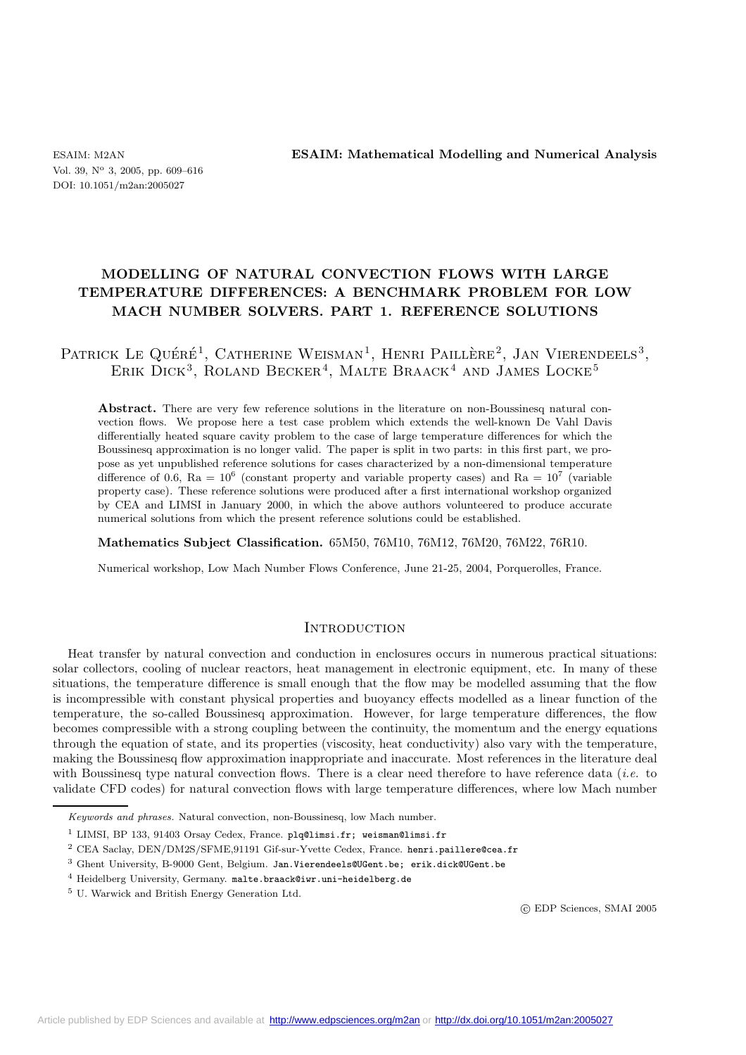ESAIM: M2AN **ESAIM: Mathematical Modelling and Numerical Analysis**

Vol. 39, N<sup>o</sup> 3, 2005, pp. 609–616 DOI: 10.1051/m2an:2005027

# **MODELLING OF NATURAL CONVECTION FLOWS WITH LARGE TEMPERATURE DIFFERENCES: A BENCHMARK PROBLEM FOR LOW MACH NUMBER SOLVERS. PART 1. REFERENCE SOLUTIONS**

# PATRICK LE QUÉRÉ<sup>1</sup>, CATHERINE WEISMAN<sup>1</sup>, HENRI PAILLÈRE<sup>2</sup>, JAN VIERENDEELS<sup>3</sup>, ERIK DICK<sup>3</sup>, ROLAND BECKER<sup>4</sup>, MALTE BRAACK<sup>4</sup> AND JAMES LOCKE<sup>5</sup>

Abstract. There are very few reference solutions in the literature on non-Boussinesq natural convection flows. We propose here a test case problem which extends the well-known De Vahl Davis differentially heated square cavity problem to the case of large temperature differences for which the Boussinesq approximation is no longer valid. The paper is split in two parts: in this first part, we propose as yet unpublished reference solutions for cases characterized by a non-dimensional temperature difference of 0.6, Ra =  $10^6$  (constant property and variable property cases) and Ra =  $10^7$  (variable property case). These reference solutions were produced after a first international workshop organized by CEA and LIMSI in January 2000, in which the above authors volunteered to produce accurate numerical solutions from which the present reference solutions could be established.

**Mathematics Subject Classification.** 65M50, 76M10, 76M12, 76M20, 76M22, 76R10.

Numerical workshop, Low Mach Number Flows Conference, June 21-25, 2004, Porquerolles, France.

## **INTRODUCTION**

Heat transfer by natural convection and conduction in enclosures occurs in numerous practical situations: solar collectors, cooling of nuclear reactors, heat management in electronic equipment, etc. In many of these situations, the temperature difference is small enough that the flow may be modelled assuming that the flow is incompressible with constant physical properties and buoyancy effects modelled as a linear function of the temperature, the so-called Boussinesq approximation. However, for large temperature differences, the flow becomes compressible with a strong coupling between the continuity, the momentum and the energy equations through the equation of state, and its properties (viscosity, heat conductivity) also vary with the temperature, making the Boussinesq flow approximation inappropriate and inaccurate. Most references in the literature deal with Boussinesq type natural convection flows. There is a clear need therefore to have reference data (*i.e.* to validate CFD codes) for natural convection flows with large temperature differences, where low Mach number

c EDP Sciences, SMAI 2005

Keywords and phrases. Natural convection, non-Boussinesq, low Mach number.

<sup>1</sup> LIMSI, BP 133, 91403 Orsay Cedex, France. plq@limsi.fr; weisman@limsi.fr

 $^2$  CEA Saclay, DEN/DM2S/SFME,91191 Gif-sur-Yvette Cedex, France. henri.paillere@cea.fr

<sup>3</sup> Ghent University, B-9000 Gent, Belgium. Jan.Vierendeels@UGent.be; erik.dick@UGent.be

<sup>4</sup> Heidelberg University, Germany. malte.braack@iwr.uni-heidelberg.de

<sup>5</sup> U. Warwick and British Energy Generation Ltd.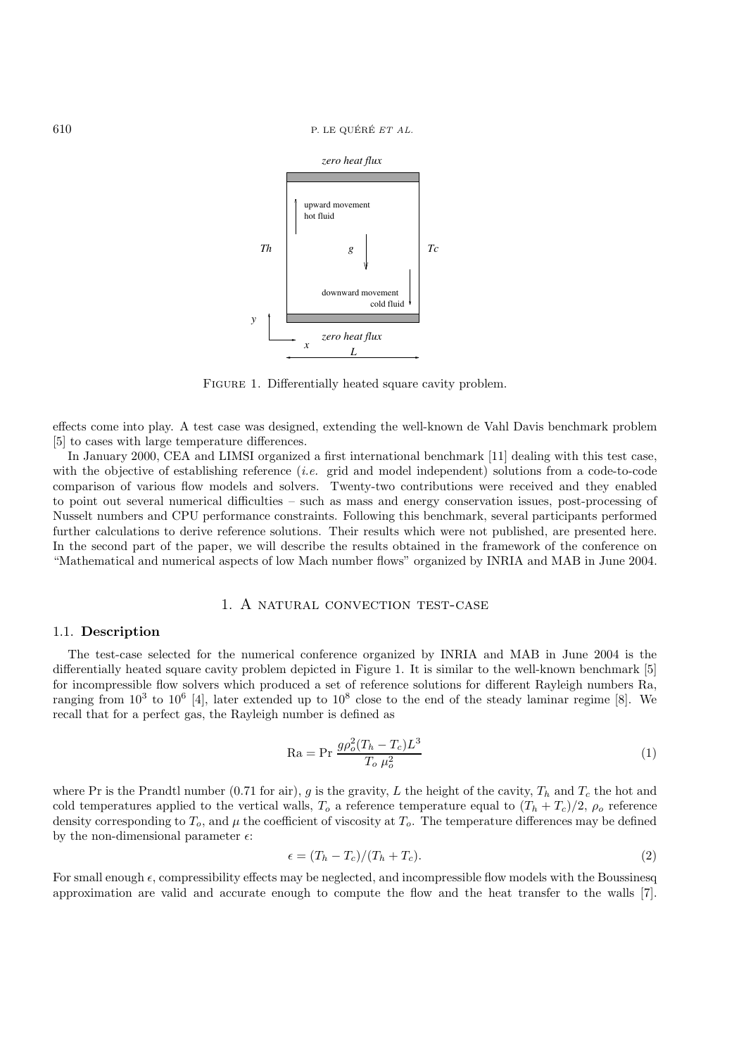

FIGURE 1. Differentially heated square cavity problem.

effects come into play. A test case was designed, extending the well-known de Vahl Davis benchmark problem [5] to cases with large temperature differences.

In January 2000, CEA and LIMSI organized a first international benchmark [11] dealing with this test case, with the objective of establishing reference (*i.e.* grid and model independent) solutions from a code-to-code comparison of various flow models and solvers. Twenty-two contributions were received and they enabled to point out several numerical difficulties – such as mass and energy conservation issues, post-processing of Nusselt numbers and CPU performance constraints. Following this benchmark, several participants performed further calculations to derive reference solutions. Their results which were not published, are presented here. In the second part of the paper, we will describe the results obtained in the framework of the conference on "Mathematical and numerical aspects of low Mach number flows" organized by INRIA and MAB in June 2004.

#### 1. A natural convection test-case

#### 1.1. **Description**

The test-case selected for the numerical conference organized by INRIA and MAB in June 2004 is the differentially heated square cavity problem depicted in Figure 1. It is similar to the well-known benchmark [5] for incompressible flow solvers which produced a set of reference solutions for different Rayleigh numbers Ra, ranging from  $10^3$  to  $10^6$  [4], later extended up to  $10^8$  close to the end of the steady laminar regime [8]. We recall that for a perfect gas, the Rayleigh number is defined as

$$
\text{Ra} = \Pr \frac{g\rho_o^2 (T_h - T_c)L^3}{T_o \mu_o^2} \tag{1}
$$

where Pr is the Prandtl number (0.71 for air), g is the gravity, L the height of the cavity,  $T_h$  and  $T_c$  the hot and cold temperatures applied to the vertical walls,  $T_o$  a reference temperature equal to  $(T_h + T_c)/2$ ,  $\rho_o$  reference density corresponding to  $T_o$ , and  $\mu$  the coefficient of viscosity at  $T_o$ . The temperature differences may be defined by the non-dimensional parameter  $\epsilon$ :

$$
\epsilon = (T_h - T_c)/(T_h + T_c). \tag{2}
$$

For small enough  $\epsilon$ , compressibility effects may be neglected, and incompressible flow models with the Boussinesq approximation are valid and accurate enough to compute the flow and the heat transfer to the walls [7].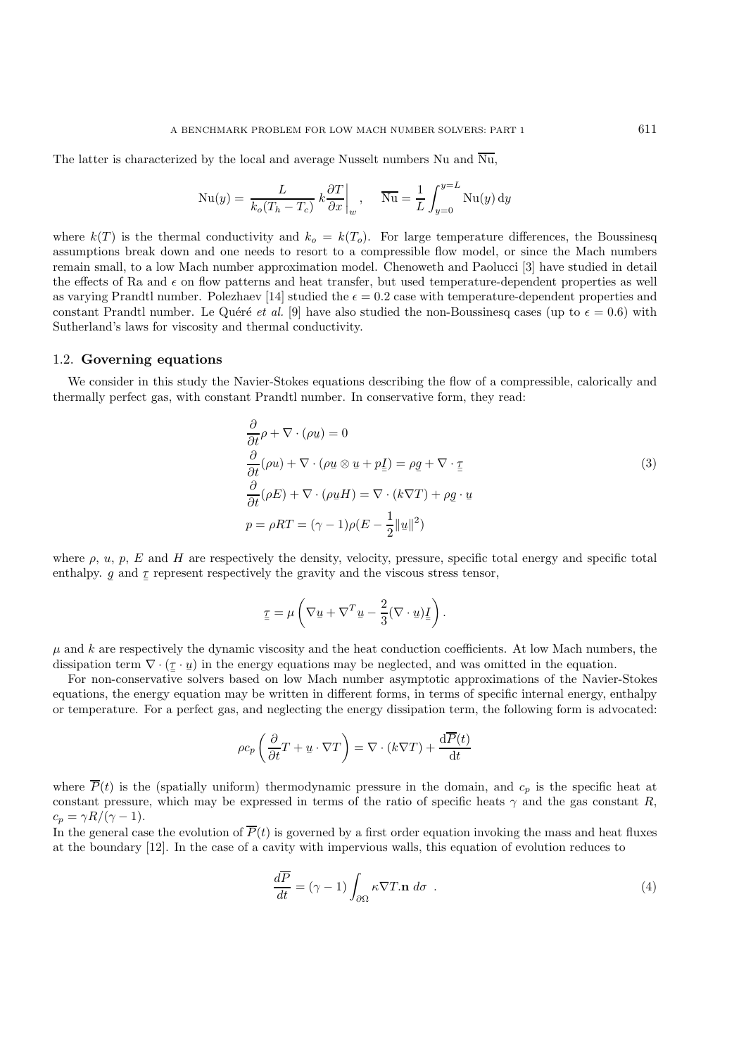The latter is characterized by the local and average Nusselt numbers Nu and  $\overline{\text{Nu}}$ .

$$
\text{Nu}(y) = \frac{L}{k_o(T_h - T_c)} k \frac{\partial T}{\partial x}\bigg|_w, \quad \overline{\text{Nu}} = \frac{1}{L} \int_{y=0}^{y=L} \text{Nu}(y) \, dy
$$

where  $k(T)$  is the thermal conductivity and  $k_o = k(T_o)$ . For large temperature differences, the Boussinesq assumptions break down and one needs to resort to a compressible flow model, or since the Mach numbers remain small, to a low Mach number approximation model. Chenoweth and Paolucci [3] have studied in detail the effects of Ra and  $\epsilon$  on flow patterns and heat transfer, but used temperature-dependent properties as well as varying Prandtl number. Polezhaev [14] studied the  $\epsilon = 0.2$  case with temperature-dependent properties and constant Prandtl number. Le Quéré *et al.* [9] have also studied the non-Boussinesq cases (up to  $\epsilon = 0.6$ ) with Sutherland's laws for viscosity and thermal conductivity.

#### 1.2. **Governing equations**

We consider in this study the Navier-Stokes equations describing the flow of a compressible, calorically and thermally perfect gas, with constant Prandtl number. In conservative form, they read:

$$
\frac{\partial}{\partial t}\rho + \nabla \cdot (\rho \underline{u}) = 0
$$
\n
$$
\frac{\partial}{\partial t}(\rho u) + \nabla \cdot (\rho \underline{u} \otimes \underline{u} + p\underline{I}) = \rho \underline{g} + \nabla \cdot \underline{\tau}
$$
\n
$$
\frac{\partial}{\partial t}(\rho E) + \nabla \cdot (\rho \underline{u}H) = \nabla \cdot (k\nabla T) + \rho \underline{g} \cdot \underline{u}
$$
\n
$$
p = \rho RT = (\gamma - 1)\rho (E - \frac{1}{2} ||\underline{u}||^2)
$$
\n(3)

where  $\rho$ ,  $u$ ,  $p$ ,  $E$  and  $H$  are respectively the density, velocity, pressure, specific total energy and specific total enthalpy. g  $\overline{a}$ and  $\mathbf{r}$  represent respectively the gravity and the viscous stress tensor,

$$
\underline{\tau} = \mu \left( \nabla \underline{u} + \nabla^T \underline{u} - \frac{2}{3} (\nabla \cdot \underline{u}) \underline{I} \right).
$$

 $\mu$  and k are respectively the dynamic viscosity and the heat conduction coefficients. At low Mach numbers, the dissipation term  $\nabla \cdot (\underline{\tau} \cdot \underline{u})$  in the energy equations may be neglected, and was omitted in the equation.

 $\frac{1}{2}$  For non-conservative solvers based on low Mach number asymptotic approximations of the Navier-Stokes equations, the energy equation may be written in different forms, in terms of specific internal energy, enthalpy or temperature. For a perfect gas, and neglecting the energy dissipation term, the following form is advocated:

$$
\rho c_p \left( \frac{\partial}{\partial t} T + \underline{u} \cdot \nabla T \right) = \nabla \cdot (k \nabla T) + \frac{\mathrm{d} \overline{P}(t)}{\mathrm{d} t}
$$

where  $\overline{P}(t)$  is the (spatially uniform) thermodynamic pressure in the domain, and  $c_p$  is the specific heat at constant pressure, which may be expressed in terms of the ratio of specific heats  $\gamma$  and the gas constant R,  $c_p = \gamma R / (\gamma - 1).$ 

In the general case the evolution of  $\overline{P}(t)$  is governed by a first order equation invoking the mass and heat fluxes at the boundary [12]. In the case of a cavity with impervious walls, this equation of evolution reduces to

$$
\frac{d\overline{P}}{dt} = (\gamma - 1) \int_{\partial \Omega} \kappa \nabla T . \mathbf{n} \, d\sigma \quad . \tag{4}
$$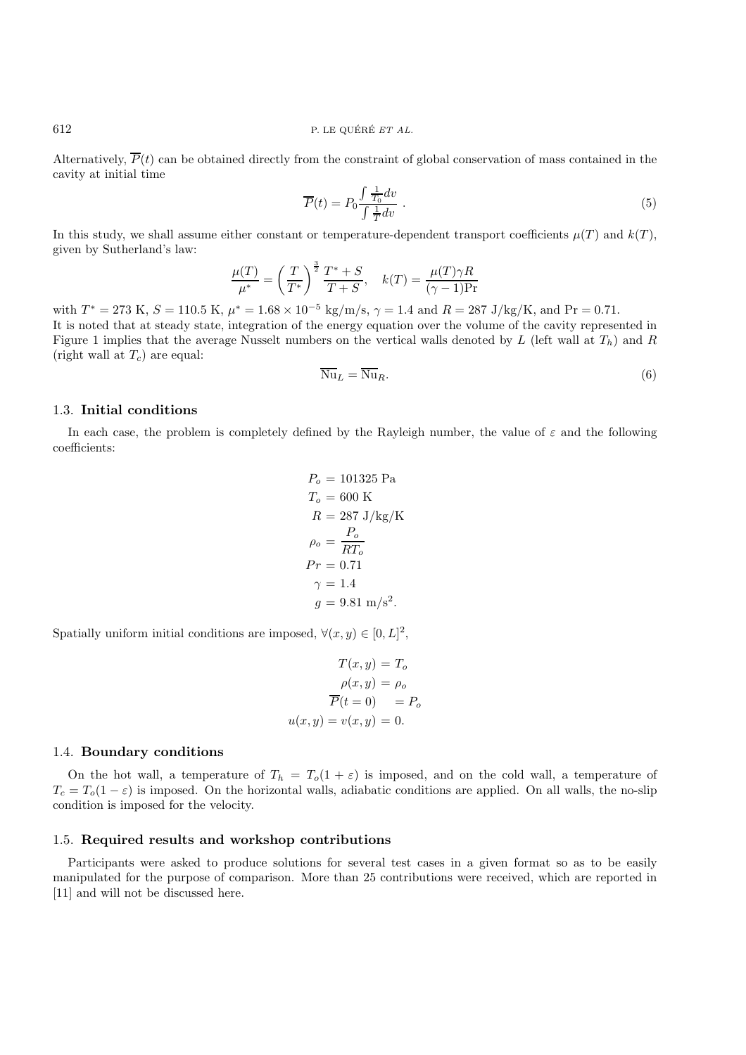Alternatively,  $\overline{P}(t)$  can be obtained directly from the constraint of global conservation of mass contained in the cavity at initial time

$$
\overline{P}(t) = P_0 \frac{\int \frac{1}{T_0} dv}{\int \frac{1}{T} dv} . \tag{5}
$$

In this study, we shall assume either constant or temperature-dependent transport coefficients  $\mu(T)$  and  $k(T)$ , given by Sutherland's law:

$$
\frac{\mu(T)}{\mu^*} = \left(\frac{T}{T^*}\right)^{\frac{3}{2}} \frac{T^* + S}{T + S}, \quad k(T) = \frac{\mu(T)\gamma R}{(\gamma - 1)Pr}
$$

with  $T^* = 273$  K,  $S = 110.5$  K,  $\mu^* = 1.68 \times 10^{-5}$  kg/m/s,  $\gamma = 1.4$  and  $R = 287$  J/kg/K, and Pr = 0.71. It is noted that at steady state, integration of the energy equation over the volume of the cavity represented in Figure 1 implies that the average Nusselt numbers on the vertical walls denoted by L (left wall at  $T_h$ ) and R (right wall at  $T_c$ ) are equal:

$$
\overline{\mathrm{Nu}}_L = \overline{\mathrm{Nu}}_R. \tag{6}
$$

## 1.3. **Initial conditions**

In each case, the problem is completely defined by the Rayleigh number, the value of  $\varepsilon$  and the following coefficients:

$$
P_o = 101325 \text{ Pa}
$$
  
\n
$$
T_o = 600 \text{ K}
$$
  
\n
$$
R = 287 \text{ J/kg/K}
$$
  
\n
$$
\rho_o = \frac{P_o}{RT_o}
$$
  
\n
$$
Pr = 0.71
$$
  
\n
$$
\gamma = 1.4
$$
  
\n
$$
g = 9.81 \text{ m/s}^2.
$$

Spatially uniform initial conditions are imposed,  $\forall (x, y) \in [0, L]^2$ ,

$$
T(x, y) = T_o
$$

$$
\rho(x, y) = \rho_o
$$

$$
\overline{P}(t = 0) = P_o
$$

$$
u(x, y) = v(x, y) = 0.
$$

## 1.4. **Boundary conditions**

On the hot wall, a temperature of  $T_h = T_o(1+\varepsilon)$  is imposed, and on the cold wall, a temperature of  $T_c = T_o(1 - \varepsilon)$  is imposed. On the horizontal walls, adiabatic conditions are applied. On all walls, the no-slip condition is imposed for the velocity.

#### 1.5. **Required results and workshop contributions**

Participants were asked to produce solutions for several test cases in a given format so as to be easily manipulated for the purpose of comparison. More than 25 contributions were received, which are reported in [11] and will not be discussed here.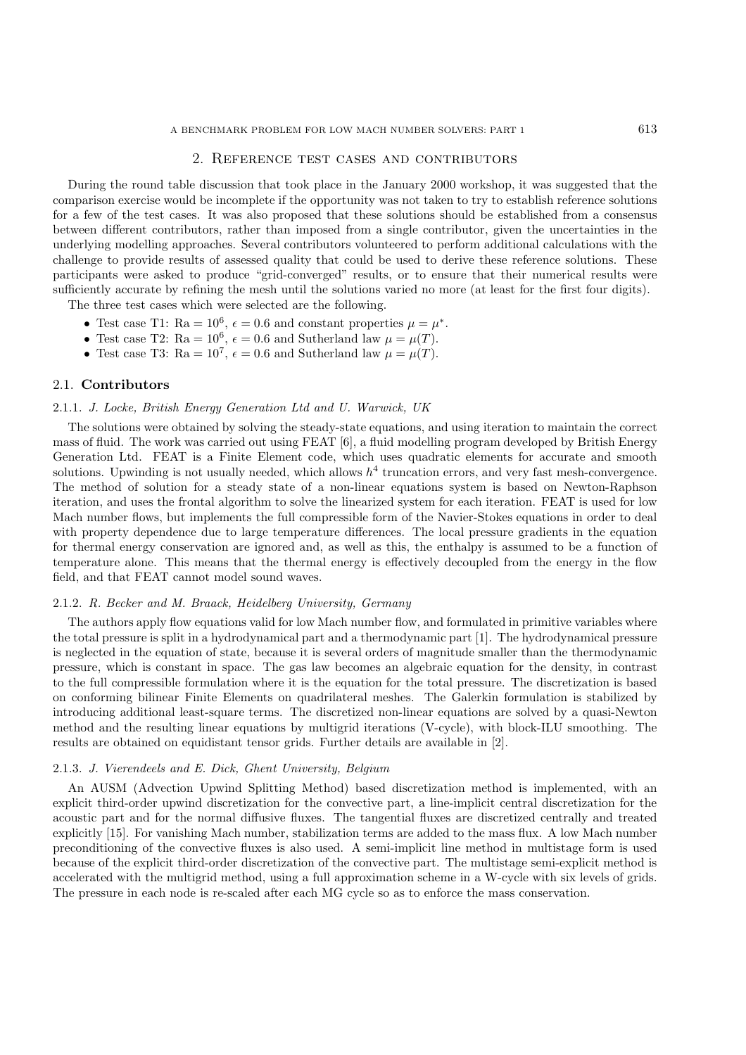## 2. Reference test cases and contributors

During the round table discussion that took place in the January 2000 workshop, it was suggested that the comparison exercise would be incomplete if the opportunity was not taken to try to establish reference solutions for a few of the test cases. It was also proposed that these solutions should be established from a consensus between different contributors, rather than imposed from a single contributor, given the uncertainties in the underlying modelling approaches. Several contributors volunteered to perform additional calculations with the challenge to provide results of assessed quality that could be used to derive these reference solutions. These participants were asked to produce "grid-converged" results, or to ensure that their numerical results were sufficiently accurate by refining the mesh until the solutions varied no more (at least for the first four digits).

The three test cases which were selected are the following.

- Test case T1: Ra =  $10^6$ ,  $\epsilon = 0.6$  and constant properties  $\mu = \mu^*$ .
- Test case T2:  $Ra = 10^6$ ,  $\epsilon = 0.6$  and Sutherland law  $\mu = \mu(T)$ .
- Test case T3: Ra =  $10^7$ ,  $\epsilon = 0.6$  and Sutherland law  $\mu = \mu(T)$ .

## 2.1. **Contributors**

#### 2.1.1. *J. Locke, British Energy Generation Ltd and U. Warwick, UK*

The solutions were obtained by solving the steady-state equations, and using iteration to maintain the correct mass of fluid. The work was carried out using FEAT [6], a fluid modelling program developed by British Energy Generation Ltd. FEAT is a Finite Element code, which uses quadratic elements for accurate and smooth solutions. Upwinding is not usually needed, which allows  $h<sup>4</sup>$  truncation errors, and very fast mesh-convergence. The method of solution for a steady state of a non-linear equations system is based on Newton-Raphson iteration, and uses the frontal algorithm to solve the linearized system for each iteration. FEAT is used for low Mach number flows, but implements the full compressible form of the Navier-Stokes equations in order to deal with property dependence due to large temperature differences. The local pressure gradients in the equation for thermal energy conservation are ignored and, as well as this, the enthalpy is assumed to be a function of temperature alone. This means that the thermal energy is effectively decoupled from the energy in the flow field, and that FEAT cannot model sound waves.

#### 2.1.2. *R. Becker and M. Braack, Heidelberg University, Germany*

The authors apply flow equations valid for low Mach number flow, and formulated in primitive variables where the total pressure is split in a hydrodynamical part and a thermodynamic part [1]. The hydrodynamical pressure is neglected in the equation of state, because it is several orders of magnitude smaller than the thermodynamic pressure, which is constant in space. The gas law becomes an algebraic equation for the density, in contrast to the full compressible formulation where it is the equation for the total pressure. The discretization is based on conforming bilinear Finite Elements on quadrilateral meshes. The Galerkin formulation is stabilized by introducing additional least-square terms. The discretized non-linear equations are solved by a quasi-Newton method and the resulting linear equations by multigrid iterations (V-cycle), with block-ILU smoothing. The results are obtained on equidistant tensor grids. Further details are available in [2].

## 2.1.3. *J. Vierendeels and E. Dick, Ghent University, Belgium*

An AUSM (Advection Upwind Splitting Method) based discretization method is implemented, with an explicit third-order upwind discretization for the convective part, a line-implicit central discretization for the acoustic part and for the normal diffusive fluxes. The tangential fluxes are discretized centrally and treated explicitly [15]. For vanishing Mach number, stabilization terms are added to the mass flux. A low Mach number preconditioning of the convective fluxes is also used. A semi-implicit line method in multistage form is used because of the explicit third-order discretization of the convective part. The multistage semi-explicit method is accelerated with the multigrid method, using a full approximation scheme in a W-cycle with six levels of grids. The pressure in each node is re-scaled after each MG cycle so as to enforce the mass conservation.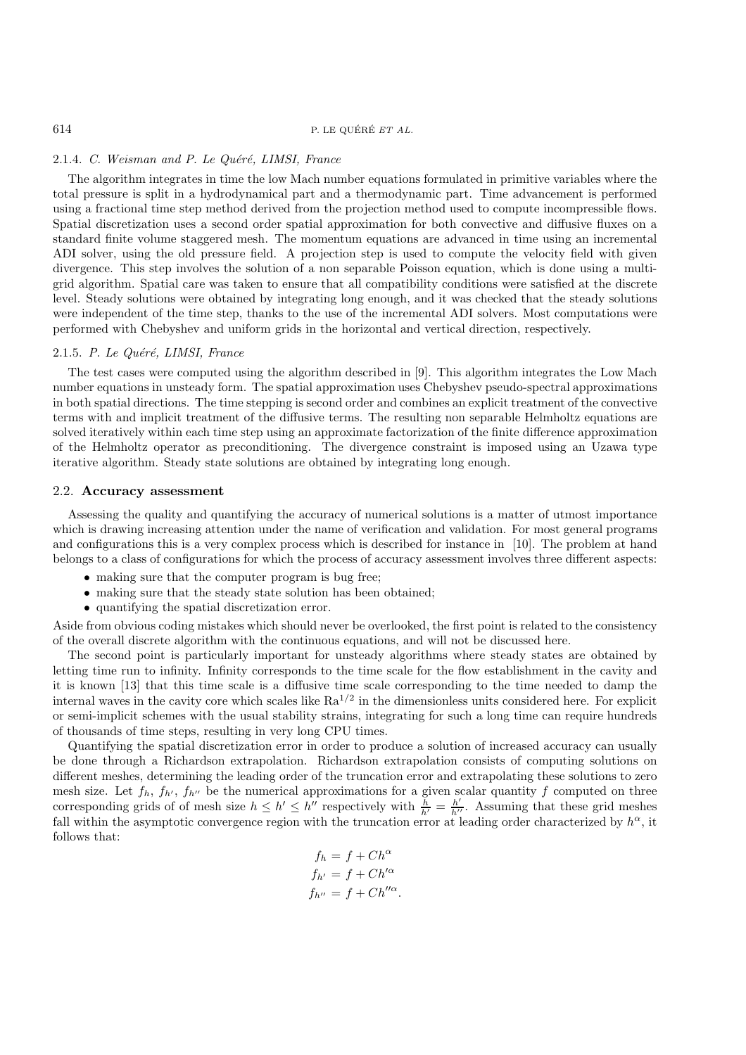#### $614$  P. LE QUÉRÉ *ET AL.*

## 2.1.4. *C. Weisman and P. Le Quéré, LIMSI, France*

The algorithm integrates in time the low Mach number equations formulated in primitive variables where the total pressure is split in a hydrodynamical part and a thermodynamic part. Time advancement is performed using a fractional time step method derived from the projection method used to compute incompressible flows. Spatial discretization uses a second order spatial approximation for both convective and diffusive fluxes on a standard finite volume staggered mesh. The momentum equations are advanced in time using an incremental ADI solver, using the old pressure field. A projection step is used to compute the velocity field with given divergence. This step involves the solution of a non separable Poisson equation, which is done using a multigrid algorithm. Spatial care was taken to ensure that all compatibility conditions were satisfied at the discrete level. Steady solutions were obtained by integrating long enough, and it was checked that the steady solutions were independent of the time step, thanks to the use of the incremental ADI solvers. Most computations were performed with Chebyshev and uniform grids in the horizontal and vertical direction, respectively.

## 2.1.5. *P. Le Quéré, LIMSI, France*

The test cases were computed using the algorithm described in [9]. This algorithm integrates the Low Mach number equations in unsteady form. The spatial approximation uses Chebyshev pseudo-spectral approximations in both spatial directions. The time stepping is second order and combines an explicit treatment of the convective terms with and implicit treatment of the diffusive terms. The resulting non separable Helmholtz equations are solved iteratively within each time step using an approximate factorization of the finite difference approximation of the Helmholtz operator as preconditioning. The divergence constraint is imposed using an Uzawa type iterative algorithm. Steady state solutions are obtained by integrating long enough.

#### 2.2. **Accuracy assessment**

Assessing the quality and quantifying the accuracy of numerical solutions is a matter of utmost importance which is drawing increasing attention under the name of verification and validation. For most general programs and configurations this is a very complex process which is described for instance in [10]. The problem at hand belongs to a class of configurations for which the process of accuracy assessment involves three different aspects:

- making sure that the computer program is bug free;
- making sure that the steady state solution has been obtained;
- quantifying the spatial discretization error.

Aside from obvious coding mistakes which should never be overlooked, the first point is related to the consistency of the overall discrete algorithm with the continuous equations, and will not be discussed here.

The second point is particularly important for unsteady algorithms where steady states are obtained by letting time run to infinity. Infinity corresponds to the time scale for the flow establishment in the cavity and it is known [13] that this time scale is a diffusive time scale corresponding to the time needed to damp the internal waves in the cavity core which scales like  $Ra^{1/2}$  in the dimensionless units considered here. For explicit or semi-implicit schemes with the usual stability strains, integrating for such a long time can require hundreds of thousands of time steps, resulting in very long CPU times.

Quantifying the spatial discretization error in order to produce a solution of increased accuracy can usually be done through a Richardson extrapolation. Richardson extrapolation consists of computing solutions on different meshes, determining the leading order of the truncation error and extrapolating these solutions to zero mesh size. Let  $f_h$ ,  $f_{h'}$ ,  $f_{h''}$  be the numerical approximations for a given scalar quantity f computed on three corresponding grids of of mesh size  $h \leq h' \leq h''$  respectively with  $\frac{h}{h'} = \frac{h'}{h''}$ . Assuming that these grid meshes fall within the asymptotic convergence region with the truncation error at leading order characterized by  $h^{\alpha}$ , it follows that:

$$
f_h = f + Ch^{\alpha}
$$
  
\n
$$
f_{h'} = f + Ch'^{\alpha}
$$
  
\n
$$
f_{h''} = f + Ch''^{\alpha}
$$
.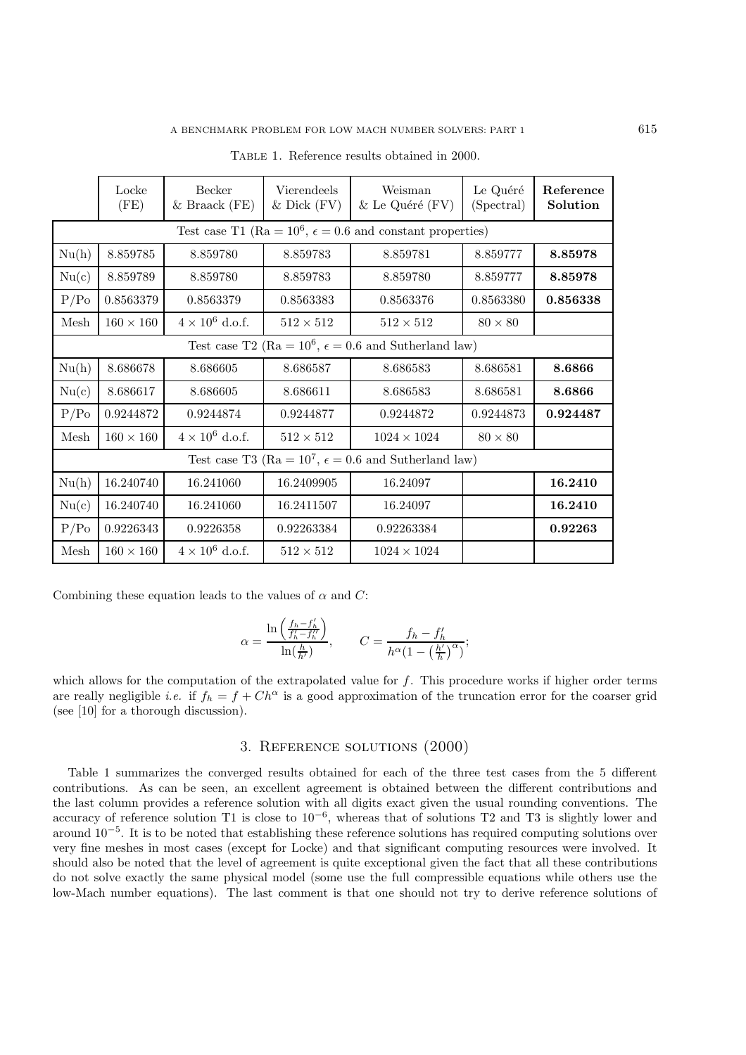|                                                                       | Locke<br>(FE)    | <b>Becker</b><br>$&$ Braack (FE) | Vierendeels<br>$&$ Dick $(FV)$ | Weisman<br>& Le Quéré (FV) | Le Quéré<br>(Spectral) | Reference<br>Solution |
|-----------------------------------------------------------------------|------------------|----------------------------------|--------------------------------|----------------------------|------------------------|-----------------------|
| Test case T1 (Ra = $10^6$ , $\epsilon = 0.6$ and constant properties) |                  |                                  |                                |                            |                        |                       |
| Nu(h)                                                                 | 8.859785         | 8.859780                         | 8.859783                       | 8.859781                   | 8.859777               | 8.85978               |
| Nu(c)                                                                 | 8.859789         | 8.859780                         | 8.859783                       | 8.859780                   | 8.859777               | 8.85978               |
| P/Po                                                                  | 0.8563379        | 0.8563379                        | 0.8563383                      | 0.8563376                  | 0.8563380              | 0.856338              |
| Mesh                                                                  | $160\times160$   | $4 \times 10^6$ d.o.f.           | $512 \times 512$               | $512 \times 512$           | $80 \times 80$         |                       |
| Test case T2 (Ra = $10^6$ , $\epsilon = 0.6$ and Sutherland law)      |                  |                                  |                                |                            |                        |                       |
| Nu(h)                                                                 | 8.686678         | 8.686605                         | 8.686587                       | 8.686583                   | 8.686581               | 8.6866                |
| Nu(c)                                                                 | 8.686617         | 8.686605                         | 8.686611                       | 8.686583                   | 8.686581               | 8.6866                |
| P/Po                                                                  | 0.9244872        | 0.9244874                        | 0.9244877                      | 0.9244872                  | 0.9244873              | 0.924487              |
| Mesh                                                                  | $160 \times 160$ | $4 \times 10^6$ d.o.f.           | $512 \times 512$               | $1024 \times 1024$         | $80 \times 80$         |                       |
| Test case T3 (Ra = $10^7$ , $\epsilon = 0.6$ and Sutherland law)      |                  |                                  |                                |                            |                        |                       |
| Nu(h)                                                                 | 16.240740        | 16.241060                        | 16.2409905                     | 16.24097                   |                        | 16.2410               |
| Nu(c)                                                                 | 16.240740        | 16.241060                        | 16.2411507                     | 16.24097                   |                        | 16.2410               |
| P/Po                                                                  | 0.9226343        | 0.9226358                        | 0.92263384                     | 0.92263384                 |                        | 0.92263               |
| Mesh                                                                  | $160 \times 160$ | $4 \times 10^6$ d.o.f.           | $512 \times 512$               | $1024 \times 1024$         |                        |                       |

Table 1. Reference results obtained in 2000.

Combining these equation leads to the values of  $\alpha$  and C:

$$
\alpha = \frac{\ln\left(\frac{f_h - f'_h}{f'_h - f''_h}\right)}{\ln\left(\frac{h}{h'}\right)}, \qquad C = \frac{f_h - f'_h}{h^{\alpha}\left(1 - \left(\frac{h'}{h}\right)^{\alpha}\right)};
$$

which allows for the computation of the extrapolated value for  $f$ . This procedure works if higher order terms are really negligible *i.e.* if  $f_h = f + Ch^{\alpha}$  is a good approximation of the truncation error for the coarser grid (see [10] for a thorough discussion).

# 3. Reference solutions (2000)

Table 1 summarizes the converged results obtained for each of the three test cases from the 5 different contributions. As can be seen, an excellent agreement is obtained between the different contributions and the last column provides a reference solution with all digits exact given the usual rounding conventions. The accuracy of reference solution T1 is close to  $10^{-6}$ , whereas that of solutions T2 and T3 is slightly lower and around  $10^{-5}$ . It is to be noted that establishing these reference solutions has required computing solutions over very fine meshes in most cases (except for Locke) and that significant computing resources were involved. It should also be noted that the level of agreement is quite exceptional given the fact that all these contributions do not solve exactly the same physical model (some use the full compressible equations while others use the low-Mach number equations). The last comment is that one should not try to derive reference solutions of